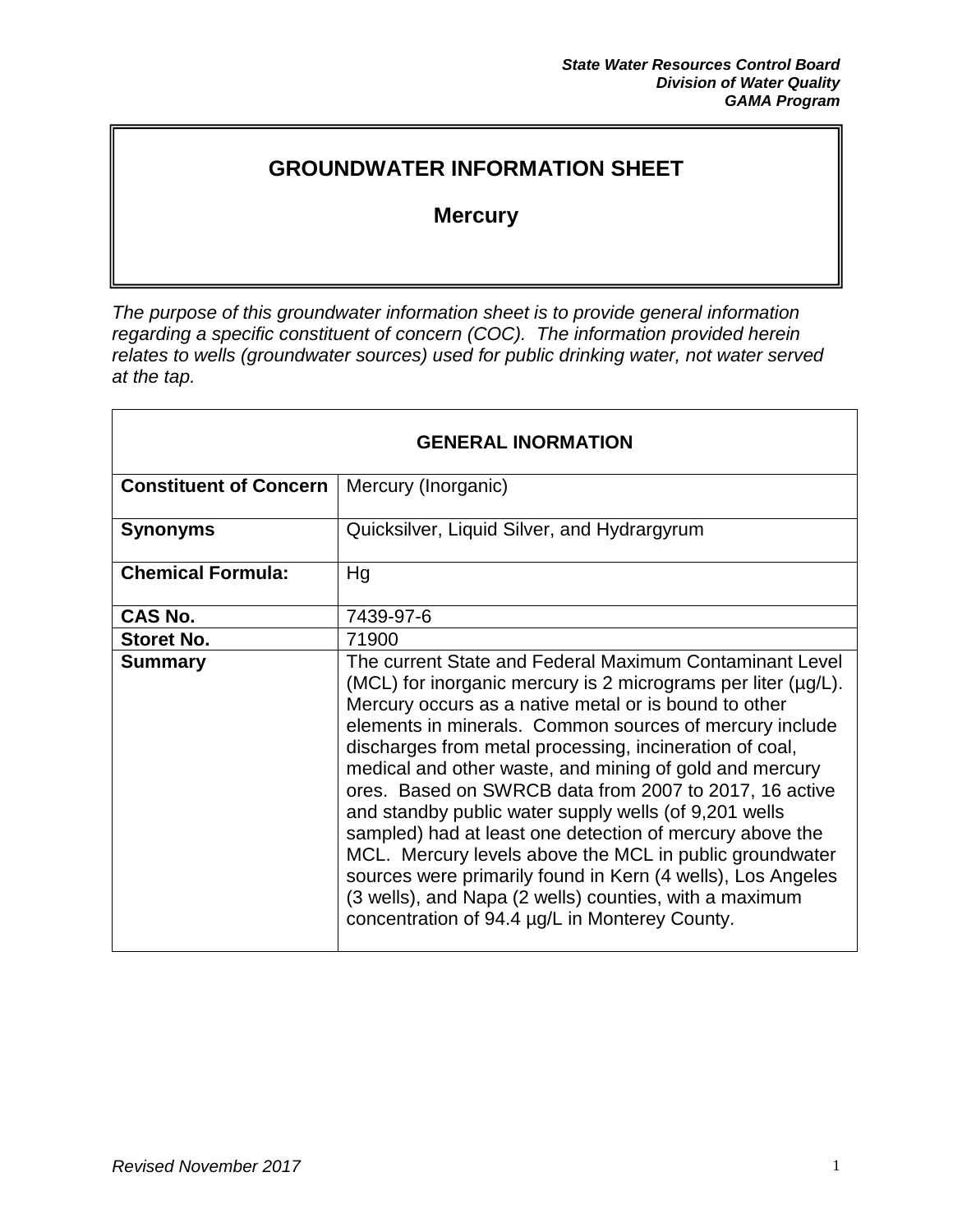# **GROUNDWATER INFORMATION SHEET**

# **Mercury**

*The purpose of this groundwater information sheet is to provide general information regarding a specific constituent of concern (COC). The information provided herein relates to wells (groundwater sources) used for public drinking water, not water served at the tap.* 

| <b>GENERAL INORMATION</b>     |                                                                                                                                                                                                                                                                                                                                                                                                                                                                                                                                                                                                                                                                                                                                                                                         |
|-------------------------------|-----------------------------------------------------------------------------------------------------------------------------------------------------------------------------------------------------------------------------------------------------------------------------------------------------------------------------------------------------------------------------------------------------------------------------------------------------------------------------------------------------------------------------------------------------------------------------------------------------------------------------------------------------------------------------------------------------------------------------------------------------------------------------------------|
| <b>Constituent of Concern</b> | Mercury (Inorganic)                                                                                                                                                                                                                                                                                                                                                                                                                                                                                                                                                                                                                                                                                                                                                                     |
| <b>Synonyms</b>               | Quicksilver, Liquid Silver, and Hydrargyrum                                                                                                                                                                                                                                                                                                                                                                                                                                                                                                                                                                                                                                                                                                                                             |
| <b>Chemical Formula:</b>      | Hg                                                                                                                                                                                                                                                                                                                                                                                                                                                                                                                                                                                                                                                                                                                                                                                      |
| CAS No.                       | 7439-97-6                                                                                                                                                                                                                                                                                                                                                                                                                                                                                                                                                                                                                                                                                                                                                                               |
| <b>Storet No.</b>             | 71900                                                                                                                                                                                                                                                                                                                                                                                                                                                                                                                                                                                                                                                                                                                                                                                   |
| <b>Summary</b>                | The current State and Federal Maximum Contaminant Level<br>(MCL) for inorganic mercury is 2 micrograms per liter (µg/L).<br>Mercury occurs as a native metal or is bound to other<br>elements in minerals. Common sources of mercury include<br>discharges from metal processing, incineration of coal,<br>medical and other waste, and mining of gold and mercury<br>ores. Based on SWRCB data from 2007 to 2017, 16 active<br>and standby public water supply wells (of 9,201 wells<br>sampled) had at least one detection of mercury above the<br>MCL. Mercury levels above the MCL in public groundwater<br>sources were primarily found in Kern (4 wells), Los Angeles<br>(3 wells), and Napa (2 wells) counties, with a maximum<br>concentration of 94.4 µg/L in Monterey County. |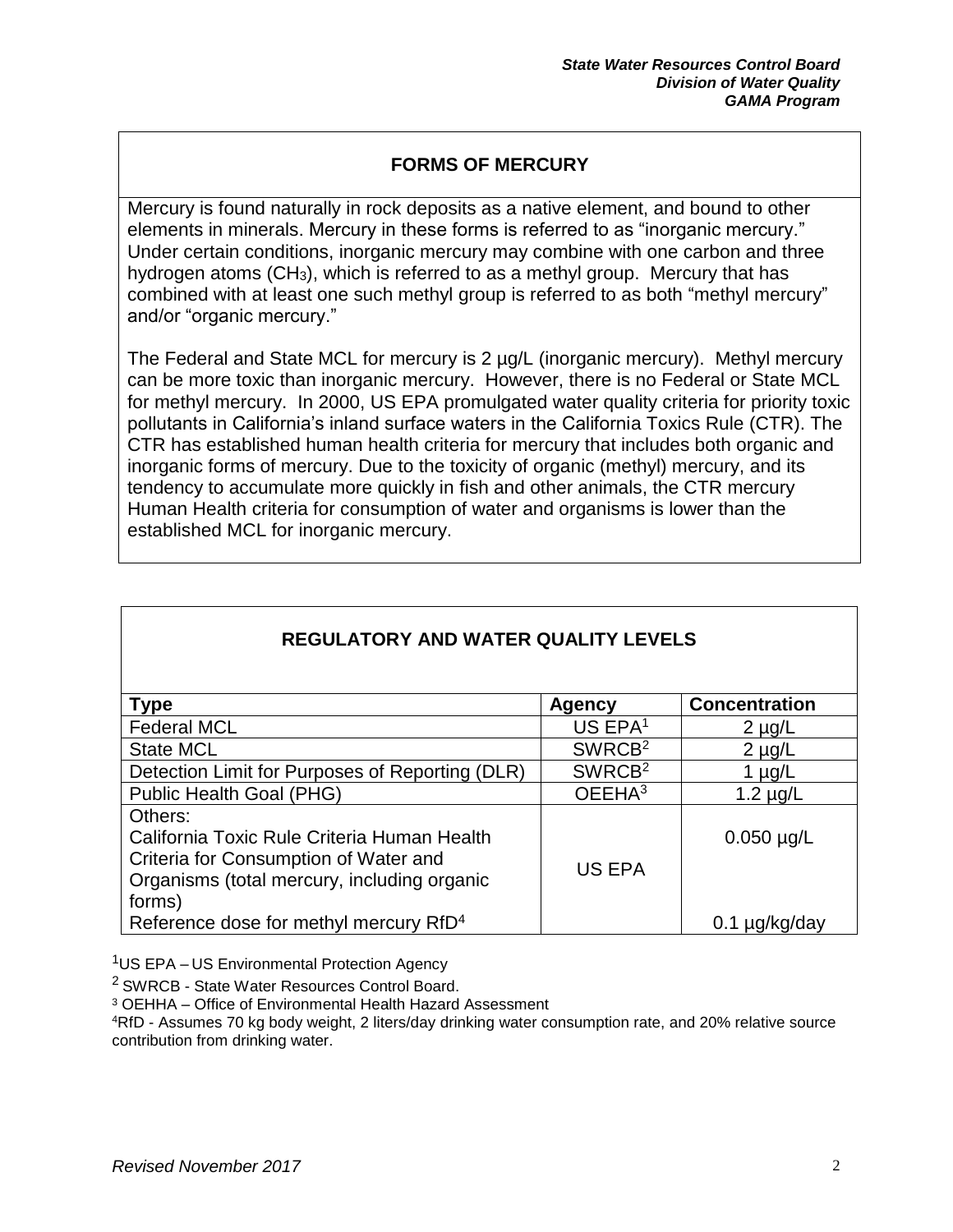### **FORMS OF MERCURY**

Mercury is found naturally in rock deposits as a native element, and bound to other elements in minerals. Mercury in these forms is referred to as "inorganic mercury." Under certain conditions, inorganic mercury may combine with one carbon and three hydrogen atoms (CH3), which is referred to as a methyl group. Mercury that has combined with at least one such methyl group is referred to as both "methyl mercury" and/or "organic mercury."

The Federal and State MCL for mercury is 2 µg/L (inorganic mercury). Methyl mercury can be more toxic than inorganic mercury. However, there is no Federal or State MCL for methyl mercury. In 2000, US EPA promulgated water quality criteria for priority toxic pollutants in California's inland surface waters in the California Toxics Rule (CTR). The CTR has established human health criteria for mercury that includes both organic and inorganic forms of mercury. Due to the toxicity of organic (methyl) mercury, and its tendency to accumulate more quickly in fish and other animals, the CTR mercury Human Health criteria for consumption of water and organisms is lower than the established MCL for inorganic mercury.

| <b>Type</b>                                        | <b>Agency</b>       | <b>Concentration</b> |
|----------------------------------------------------|---------------------|----------------------|
| <b>Federal MCL</b>                                 | US EPA <sup>1</sup> | $2 \mu g/L$          |
| <b>State MCL</b>                                   | SWRCB <sup>2</sup>  | $2 \mu g/L$          |
| Detection Limit for Purposes of Reporting (DLR)    | SWRCB <sup>2</sup>  | 1 $\mu$ g/L          |
| Public Health Goal (PHG)                           | OEEHA <sup>3</sup>  | $1.2 \mu g/L$        |
| Others:                                            |                     |                      |
| California Toxic Rule Criteria Human Health        |                     | $0.050 \mu g/L$      |
| Criteria for Consumption of Water and              | <b>US EPA</b>       |                      |
| Organisms (total mercury, including organic        |                     |                      |
| forms)                                             |                     |                      |
| Reference dose for methyl mercury RfD <sup>4</sup> |                     |                      |

## **REGULATORY AND WATER QUALITY LEVELS**

<sup>1</sup>US EPA – US Environmental Protection Agency

<sup>2</sup> SWRCB - State Water Resources Control Board.

<sup>3</sup> OEHHA – Office of Environmental Health Hazard Assessment

<sup>4</sup>RfD - Assumes 70 kg body weight, 2 liters/day drinking water consumption rate, and 20% relative source contribution from drinking water.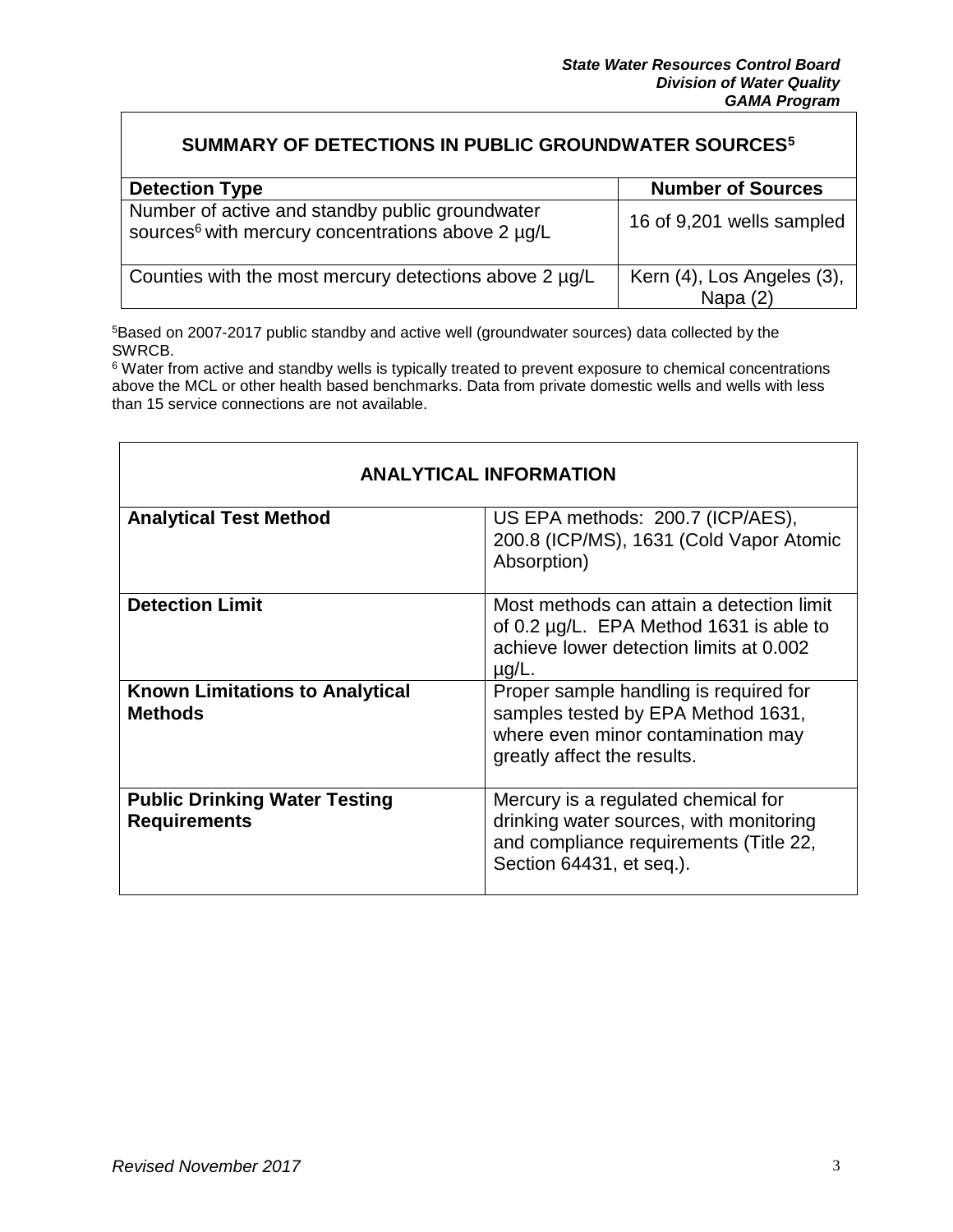#### **SUMMARY OF DETECTIONS IN PUBLIC GROUNDWATER SOURCES<sup>5</sup>**

| <b>Detection Type</b>                                                                                            | <b>Number of Sources</b>                 |
|------------------------------------------------------------------------------------------------------------------|------------------------------------------|
| Number of active and standby public groundwater<br>sources <sup>6</sup> with mercury concentrations above 2 µg/L | 16 of 9,201 wells sampled                |
| Counties with the most mercury detections above 2 µg/L                                                           | Kern (4), Los Angeles (3),<br>Napa $(2)$ |

<sup>5</sup>Based on 2007-2017 public standby and active well (groundwater sources) data collected by the SWRCB.

<sup>6</sup> Water from active and standby wells is typically treated to prevent exposure to chemical concentrations above the MCL or other health based benchmarks. Data from private domestic wells and wells with less than 15 service connections are not available.

| <b>ANALYTICAL INFORMATION</b>                               |                                                                                                                                                      |  |
|-------------------------------------------------------------|------------------------------------------------------------------------------------------------------------------------------------------------------|--|
| <b>Analytical Test Method</b>                               | US EPA methods: 200.7 (ICP/AES),<br>200.8 (ICP/MS), 1631 (Cold Vapor Atomic<br>Absorption)                                                           |  |
| <b>Detection Limit</b>                                      | Most methods can attain a detection limit<br>of 0.2 $\mu$ g/L. EPA Method 1631 is able to<br>achieve lower detection limits at 0.002<br>$\mu$ g/L.   |  |
| <b>Known Limitations to Analytical</b><br><b>Methods</b>    | Proper sample handling is required for<br>samples tested by EPA Method 1631,<br>where even minor contamination may<br>greatly affect the results.    |  |
| <b>Public Drinking Water Testing</b><br><b>Requirements</b> | Mercury is a regulated chemical for<br>drinking water sources, with monitoring<br>and compliance requirements (Title 22,<br>Section 64431, et seq.). |  |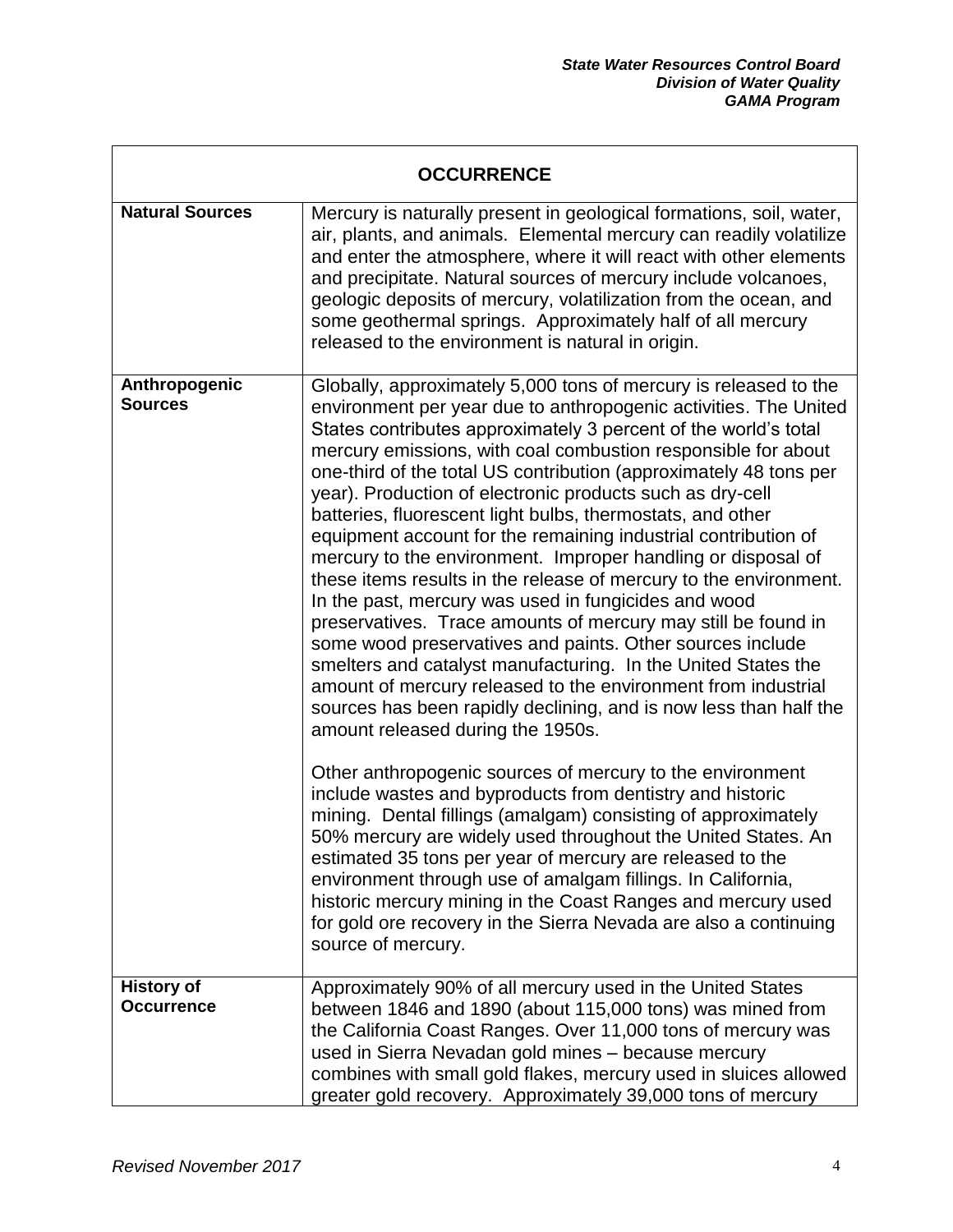| <b>OCCURRENCE</b>                      |                                                                                                                                                                                                                                                                                                                                                                                                                                                                                                                                                                                                                                                                                                                                                                                                                                                                                                                                                                                                                                                                                                                                                                                                                                                                                                                                                                                                                                           |  |
|----------------------------------------|-------------------------------------------------------------------------------------------------------------------------------------------------------------------------------------------------------------------------------------------------------------------------------------------------------------------------------------------------------------------------------------------------------------------------------------------------------------------------------------------------------------------------------------------------------------------------------------------------------------------------------------------------------------------------------------------------------------------------------------------------------------------------------------------------------------------------------------------------------------------------------------------------------------------------------------------------------------------------------------------------------------------------------------------------------------------------------------------------------------------------------------------------------------------------------------------------------------------------------------------------------------------------------------------------------------------------------------------------------------------------------------------------------------------------------------------|--|
| <b>Natural Sources</b>                 | Mercury is naturally present in geological formations, soil, water,<br>air, plants, and animals. Elemental mercury can readily volatilize<br>and enter the atmosphere, where it will react with other elements<br>and precipitate. Natural sources of mercury include volcanoes,<br>geologic deposits of mercury, volatilization from the ocean, and<br>some geothermal springs. Approximately half of all mercury<br>released to the environment is natural in origin.                                                                                                                                                                                                                                                                                                                                                                                                                                                                                                                                                                                                                                                                                                                                                                                                                                                                                                                                                                   |  |
| Anthropogenic<br><b>Sources</b>        | Globally, approximately 5,000 tons of mercury is released to the<br>environment per year due to anthropogenic activities. The United<br>States contributes approximately 3 percent of the world's total<br>mercury emissions, with coal combustion responsible for about<br>one-third of the total US contribution (approximately 48 tons per<br>year). Production of electronic products such as dry-cell<br>batteries, fluorescent light bulbs, thermostats, and other<br>equipment account for the remaining industrial contribution of<br>mercury to the environment. Improper handling or disposal of<br>these items results in the release of mercury to the environment.<br>In the past, mercury was used in fungicides and wood<br>preservatives. Trace amounts of mercury may still be found in<br>some wood preservatives and paints. Other sources include<br>smelters and catalyst manufacturing. In the United States the<br>amount of mercury released to the environment from industrial<br>sources has been rapidly declining, and is now less than half the<br>amount released during the 1950s.<br>Other anthropogenic sources of mercury to the environment<br>include wastes and byproducts from dentistry and historic<br>mining. Dental fillings (amalgam) consisting of approximately<br>50% mercury are widely used throughout the United States. An<br>estimated 35 tons per year of mercury are released to the |  |
|                                        | environment through use of amalgam fillings. In California,<br>historic mercury mining in the Coast Ranges and mercury used<br>for gold ore recovery in the Sierra Nevada are also a continuing<br>source of mercury.                                                                                                                                                                                                                                                                                                                                                                                                                                                                                                                                                                                                                                                                                                                                                                                                                                                                                                                                                                                                                                                                                                                                                                                                                     |  |
| <b>History of</b><br><b>Occurrence</b> | Approximately 90% of all mercury used in the United States<br>between 1846 and 1890 (about 115,000 tons) was mined from<br>the California Coast Ranges. Over 11,000 tons of mercury was<br>used in Sierra Nevadan gold mines - because mercury<br>combines with small gold flakes, mercury used in sluices allowed<br>greater gold recovery. Approximately 39,000 tons of mercury                                                                                                                                                                                                                                                                                                                                                                                                                                                                                                                                                                                                                                                                                                                                                                                                                                                                                                                                                                                                                                                         |  |

Г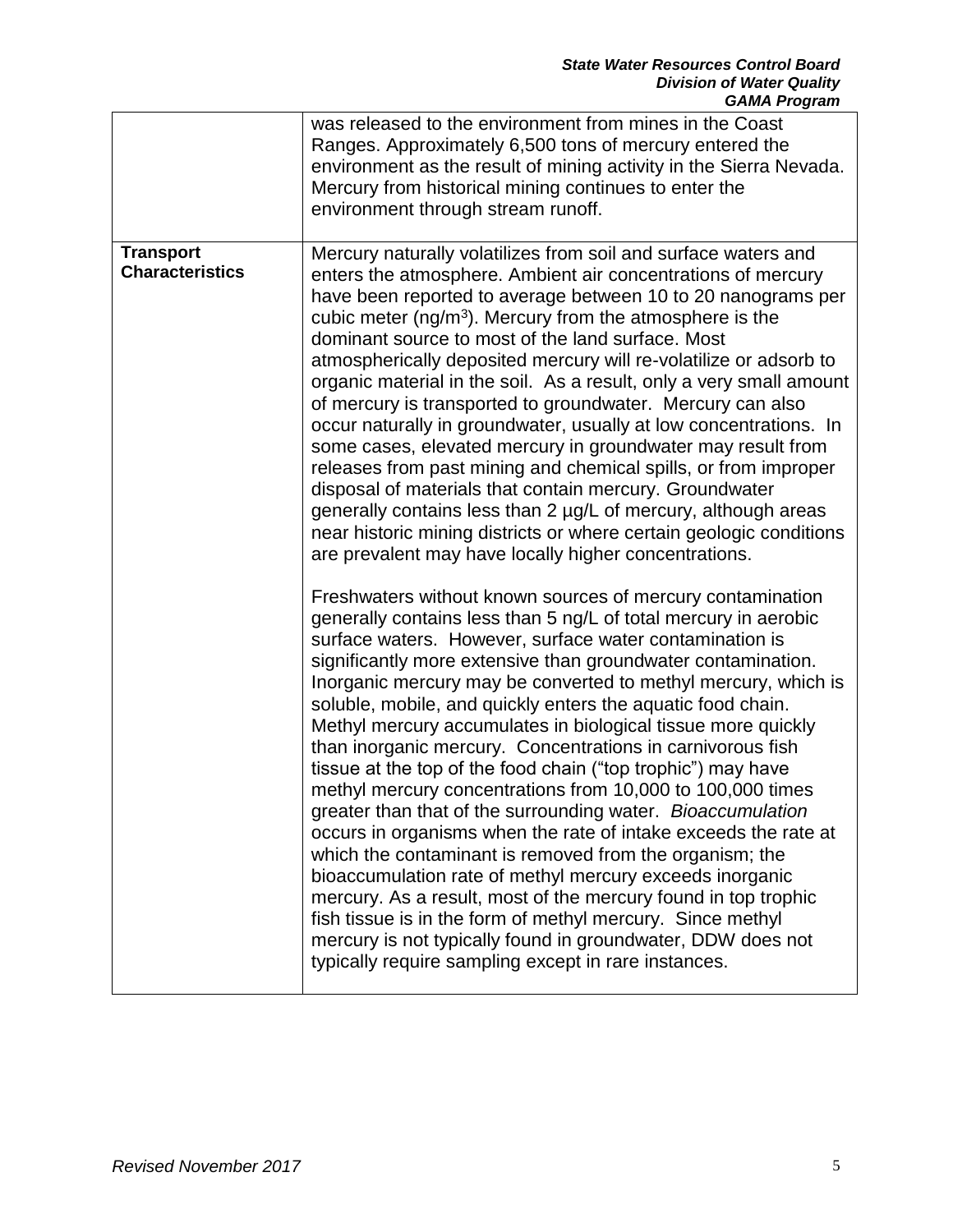|                                            | was released to the environment from mines in the Coast<br>Ranges. Approximately 6,500 tons of mercury entered the<br>environment as the result of mining activity in the Sierra Nevada.<br>Mercury from historical mining continues to enter the<br>environment through stream runoff.                                                                                                                                                                                                                                                                                                                                                                                                                                                                                                                                                                                                                                                                                                                                                                                                                                                                                                                                                                                                                                                                                                                                                                                                                                                                                                                                                                                                                                                                                                                                                                                                                                                                                                                                                                                                                                                                                   |
|--------------------------------------------|---------------------------------------------------------------------------------------------------------------------------------------------------------------------------------------------------------------------------------------------------------------------------------------------------------------------------------------------------------------------------------------------------------------------------------------------------------------------------------------------------------------------------------------------------------------------------------------------------------------------------------------------------------------------------------------------------------------------------------------------------------------------------------------------------------------------------------------------------------------------------------------------------------------------------------------------------------------------------------------------------------------------------------------------------------------------------------------------------------------------------------------------------------------------------------------------------------------------------------------------------------------------------------------------------------------------------------------------------------------------------------------------------------------------------------------------------------------------------------------------------------------------------------------------------------------------------------------------------------------------------------------------------------------------------------------------------------------------------------------------------------------------------------------------------------------------------------------------------------------------------------------------------------------------------------------------------------------------------------------------------------------------------------------------------------------------------------------------------------------------------------------------------------------------------|
| <b>Transport</b><br><b>Characteristics</b> | Mercury naturally volatilizes from soil and surface waters and<br>enters the atmosphere. Ambient air concentrations of mercury<br>have been reported to average between 10 to 20 nanograms per<br>cubic meter ( $ng/m3$ ). Mercury from the atmosphere is the<br>dominant source to most of the land surface. Most<br>atmospherically deposited mercury will re-volatilize or adsorb to<br>organic material in the soil. As a result, only a very small amount<br>of mercury is transported to groundwater. Mercury can also<br>occur naturally in groundwater, usually at low concentrations. In<br>some cases, elevated mercury in groundwater may result from<br>releases from past mining and chemical spills, or from improper<br>disposal of materials that contain mercury. Groundwater<br>generally contains less than 2 ug/L of mercury, although areas<br>near historic mining districts or where certain geologic conditions<br>are prevalent may have locally higher concentrations.<br>Freshwaters without known sources of mercury contamination<br>generally contains less than 5 ng/L of total mercury in aerobic<br>surface waters. However, surface water contamination is<br>significantly more extensive than groundwater contamination.<br>Inorganic mercury may be converted to methyl mercury, which is<br>soluble, mobile, and quickly enters the aquatic food chain.<br>Methyl mercury accumulates in biological tissue more quickly<br>than inorganic mercury. Concentrations in carnivorous fish<br>tissue at the top of the food chain ("top trophic") may have<br>methyl mercury concentrations from 10,000 to 100,000 times<br>greater than that of the surrounding water. Bioaccumulation<br>occurs in organisms when the rate of intake exceeds the rate at<br>which the contaminant is removed from the organism; the<br>bioaccumulation rate of methyl mercury exceeds inorganic<br>mercury. As a result, most of the mercury found in top trophic<br>fish tissue is in the form of methyl mercury. Since methyl<br>mercury is not typically found in groundwater, DDW does not<br>typically require sampling except in rare instances. |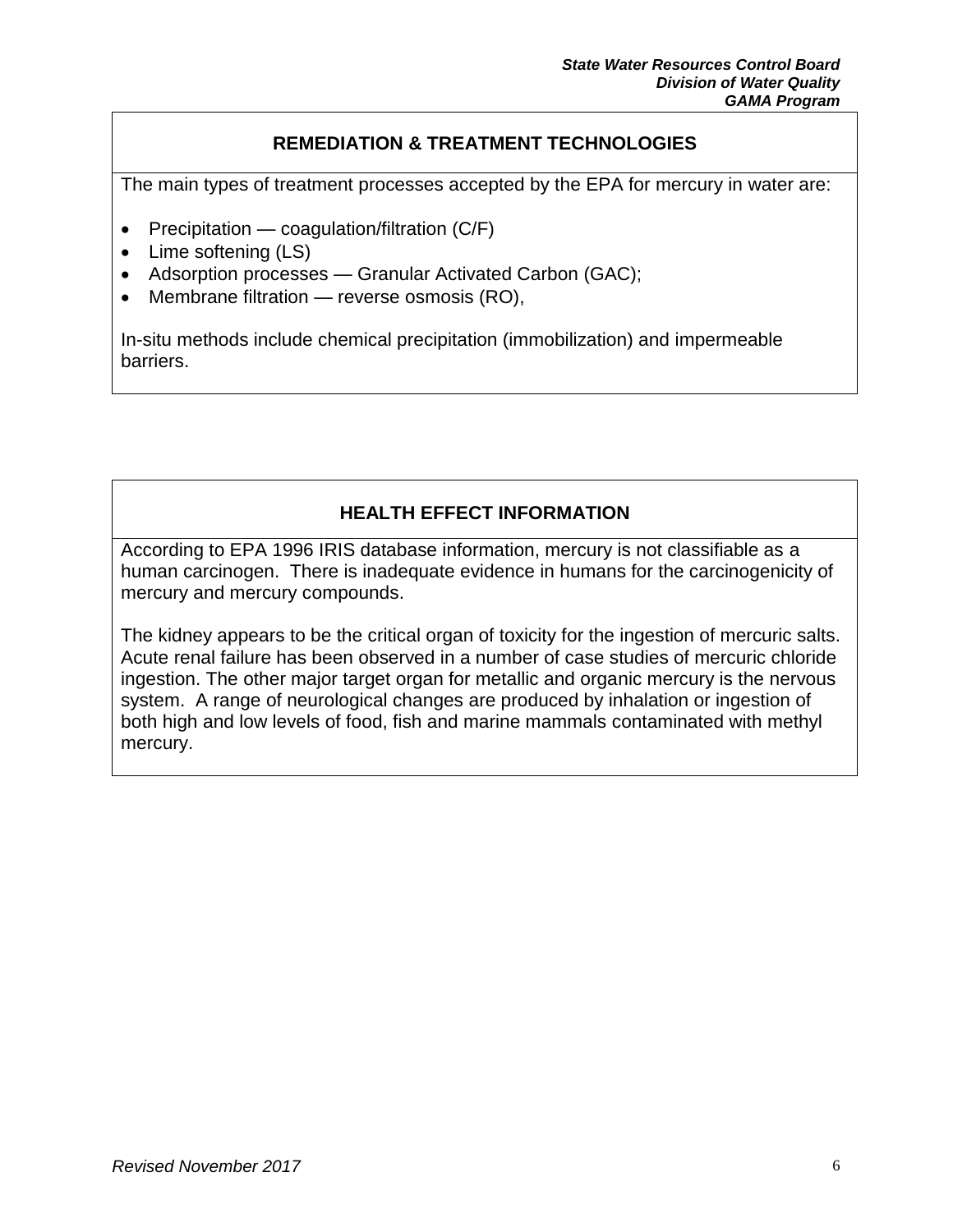### **REMEDIATION & TREATMENT TECHNOLOGIES**

The main types of treatment processes accepted by the EPA for mercury in water are:

- Precipitation coagulation/filtration  $(C/F)$
- Lime softening (LS)
- Adsorption processes Granular Activated Carbon (GAC);
- $\bullet$  Membrane filtration reverse osmosis (RO),

In-situ methods include chemical precipitation (immobilization) and impermeable barriers.

## **HEALTH EFFECT INFORMATION**

According to EPA 1996 IRIS database information, mercury is not classifiable as a human carcinogen. There is inadequate evidence in humans for the carcinogenicity of mercury and mercury compounds.

The kidney appears to be the critical organ of toxicity for the ingestion of mercuric salts. Acute renal failure has been observed in a number of case studies of mercuric chloride ingestion. The other major target organ for metallic and organic mercury is the nervous system. A range of neurological changes are produced by inhalation or ingestion of both high and low levels of food, fish and marine mammals contaminated with methyl mercury.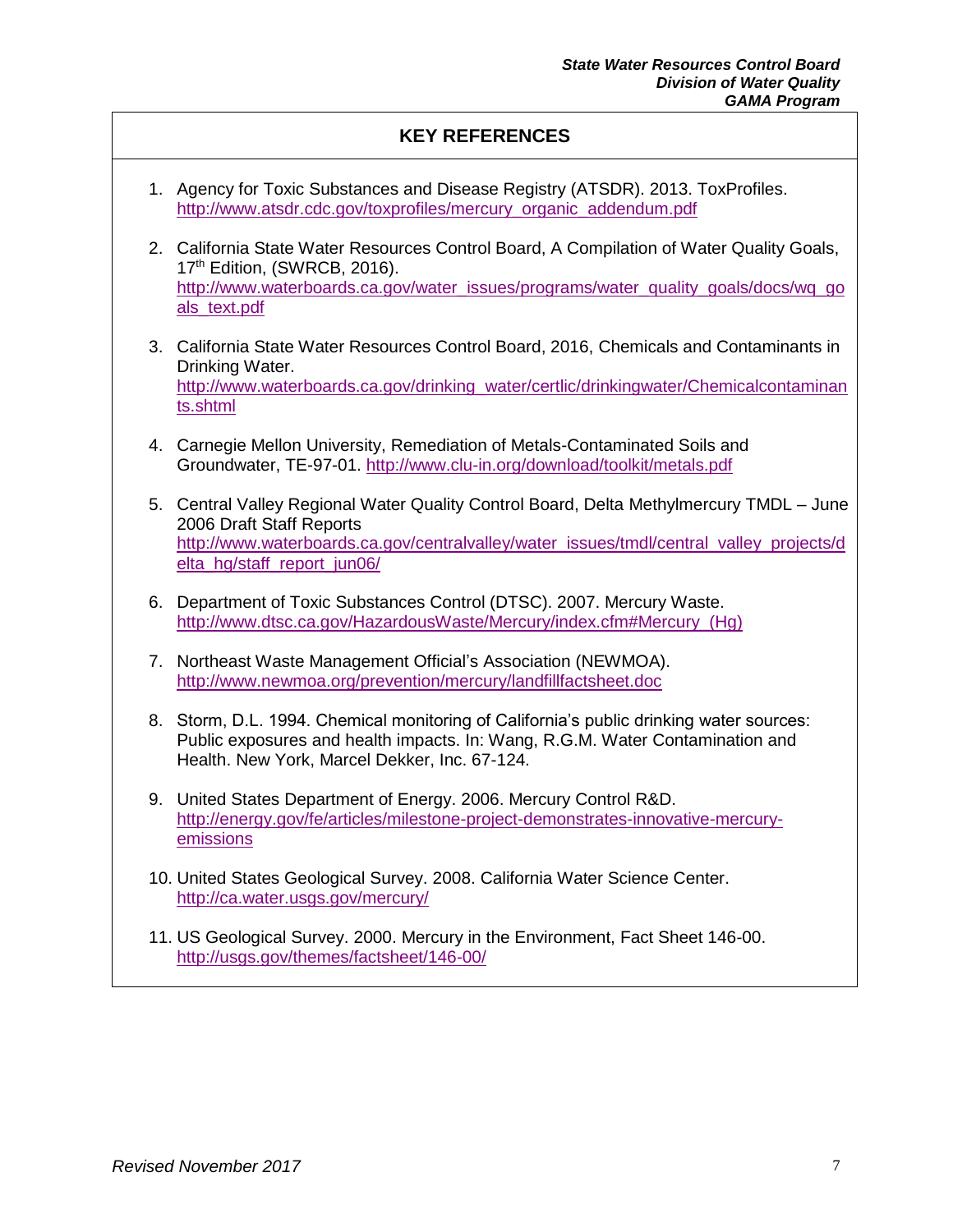#### **KEY REFERENCES**

- 1. Agency for Toxic Substances and Disease Registry (ATSDR). 2013. ToxProfiles. http://www.atsdr.cdc.gov/toxprofiles/mercury\_organic\_addendum.pdf
- 2. California State Water Resources Control Board, A Compilation of Water Quality Goals, 17<sup>th</sup> Edition, (SWRCB, 2016). [http://www.waterboards.ca.gov/water\\_issues/programs/water\\_quality\\_goals/docs/wq\\_go](http://www.waterboards.ca.gov/water_issues/programs/water_quality_goals/docs/wq_goals_text.pdf) [als\\_text.pdf](http://www.waterboards.ca.gov/water_issues/programs/water_quality_goals/docs/wq_goals_text.pdf)
- 3. California State Water Resources Control Board, 2016, Chemicals and Contaminants in Drinking Water. [http://www.waterboards.ca.gov/drinking\\_water/certlic/drinkingwater/Chemicalcontaminan](http://www.waterboards.ca.gov/drinking_water/certlic/drinkingwater/Chemicalcontaminants.shtml) [ts.shtml](http://www.waterboards.ca.gov/drinking_water/certlic/drinkingwater/Chemicalcontaminants.shtml)
- 4. Carnegie Mellon University, Remediation of Metals-Contaminated Soils and Groundwater, TE-97-01.<http://www.clu-in.org/download/toolkit/metals.pdf>
- 5. Central Valley Regional Water Quality Control Board, Delta Methylmercury TMDL June 2006 Draft Staff Reports [http://www.waterboards.ca.gov/centralvalley/water\\_issues/tmdl/central\\_valley\\_projects/d](http://www.waterboards.ca.gov/centralvalley/water_issues/tmdl/central_valley_projects/delta_hg/staff_report_jun06/) [elta\\_hg/staff\\_report\\_jun06/](http://www.waterboards.ca.gov/centralvalley/water_issues/tmdl/central_valley_projects/delta_hg/staff_report_jun06/)
- 6. Department of Toxic Substances Control (DTSC). 2007. Mercury Waste. [http://www.dtsc.ca.gov/HazardousWaste/Mercury/index.cfm#Mercury\\_\(Hg\)](http://www.dtsc.ca.gov/HazardousWaste/Mercury/index.cfm#Mercury_(Hg))
- 7. Northeast Waste Management Official's Association (NEWMOA). <http://www.newmoa.org/prevention/mercury/landfillfactsheet.doc>
- 8. Storm, D.L. 1994. Chemical monitoring of California's public drinking water sources: Public exposures and health impacts. In: Wang, R.G.M. Water Contamination and Health. New York, Marcel Dekker, Inc. 67-124.
- 9. United States Department of Energy. 2006. Mercury Control R&D. [http://energy.gov/fe/articles/milestone-project-demonstrates-innovative-mercury](http://energy.gov/fe/articles/milestone-project-demonstrates-innovative-mercury-emissions)[emissions](http://energy.gov/fe/articles/milestone-project-demonstrates-innovative-mercury-emissions)
- 10. United States Geological Survey. 2008. California Water Science Center. <http://ca.water.usgs.gov/mercury/>
- 11. US Geological Survey. 2000. Mercury in the Environment, Fact Sheet 146-00. <http://usgs.gov/themes/factsheet/146-00/>